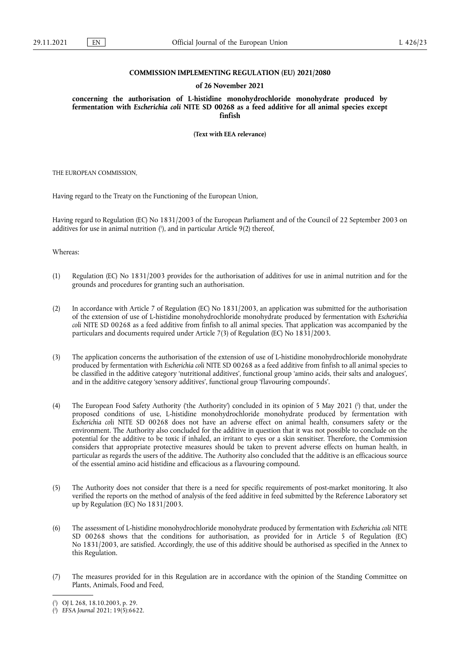#### **COMMISSION IMPLEMENTING REGULATION (EU) 2021/2080**

#### **of 26 November 2021**

**concerning the authorisation of L-histidine monohydrochloride monohydrate produced by fermentation with** *Escherichia coli* **NITE SD 00268 as a feed additive for all animal species except finfish** 

**(Text with EEA relevance)** 

THE EUROPEAN COMMISSION,

Having regard to the Treaty on the Functioning of the European Union,

<span id="page-0-2"></span>Having regard to Regulation (EC) No 1831/2003 of the European Parliament and of the Council of 22 September 2003 on additives for use in animal nutrition ( 1 [\),](#page-0-0) and in particular Article 9(2) thereof,

Whereas:

- (1) Regulation (EC) No 1831/2003 provides for the authorisation of additives for use in animal nutrition and for the grounds and procedures for granting such an authorisation.
- (2) In accordance with Article 7 of Regulation (EC) No 1831/2003, an application was submitted for the authorisation of the extension of use of L-histidine monohydrochloride monohydrate produced by fermentation with *Escherichia coli* NITE SD 00268 as a feed additive from finfish to all animal species. That application was accompanied by the particulars and documents required under Article 7(3) of Regulation (EC) No 1831/2003.
- (3) The application concerns the authorisation of the extension of use of L-histidine monohydrochloride monohydrate produced by fermentation with *Escherichia coli* NITE SD 00268 as a feed additive from finfish to all animal species to be classified in the additive category 'nutritional additives', functional group 'amino acids, their salts and analogues', and in the additive category 'sensory additives', functional group 'flavouring compounds'.
- <span id="page-0-3"></span>(4) The European Food Safety Authority ('the Authority') concluded in its opinion of 5 May 2021 [\(](#page-0-1) 2 ) that, under the proposed conditions of use, L-histidine monohydrochloride monohydrate produced by fermentation with *Escherichia co*li NITE SD 00268 does not have an adverse effect on animal health, consumers safety or the environment. The Authority also concluded for the additive in question that it was not possible to conclude on the potential for the additive to be toxic if inhaled, an irritant to eyes or a skin sensitiser. Therefore, the Commission considers that appropriate protective measures should be taken to prevent adverse effects on human health, in particular as regards the users of the additive. The Authority also concluded that the additive is an efficacious source of the essential amino acid histidine and efficacious as a flavouring compound.
- (5) The Authority does not consider that there is a need for specific requirements of post-market monitoring. It also verified the reports on the method of analysis of the feed additive in feed submitted by the Reference Laboratory set up by Regulation (EC) No 1831/2003.
- (6) The assessment of L-histidine monohydrochloride monohydrate produced by fermentation with *Escherichia coli* NITE SD 00268 shows that the conditions for authorisation, as provided for in Article 5 of Regulation (EC) No 1831/2003, are satisfied. Accordingly, the use of this additive should be authorised as specified in the Annex to this Regulation.
- (7) The measures provided for in this Regulation are in accordance with the opinion of the Standing Committee on Plants, Animals, Food and Feed,

<span id="page-0-0"></span>[<sup>\(</sup>](#page-0-2) 1 ) OJ L 268, 18.10.2003, p. 29.

<span id="page-0-1"></span><sup>(</sup> 2 [\)](#page-0-3) *EFSA Journal* 2021; 19(5):6622.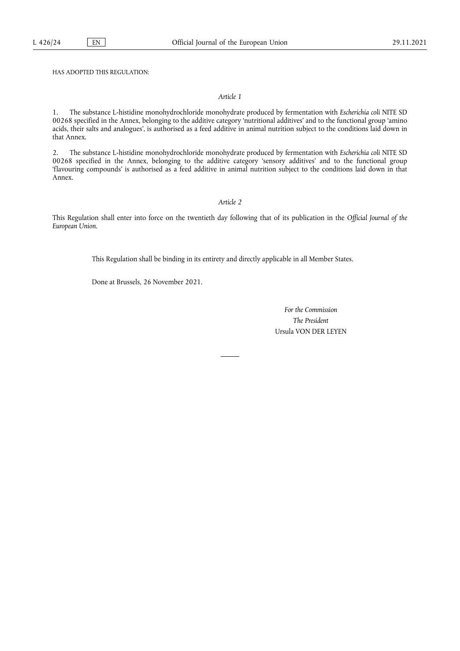HAS ADOPTED THIS REGULATION:

## *Article 1*

1. The substance L-histidine monohydrochloride monohydrate produced by fermentation with *Escherichia coli* NITE SD 00268 specified in the Annex, belonging to the additive category 'nutritional additives' and to the functional group 'amino acids, their salts and analogues', is authorised as a feed additive in animal nutrition subject to the conditions laid down in that Annex.

2. The substance L-histidine monohydrochloride monohydrate produced by fermentation with *Escherichia coli* NITE SD 00268 specified in the Annex, belonging to the additive category 'sensory additives' and to the functional group 'flavouring compounds' is authorised as a feed additive in animal nutrition subject to the conditions laid down in that Annex.

## *Article 2*

This Regulation shall enter into force on the twentieth day following that of its publication in the *Official Journal of the European Union*.

This Regulation shall be binding in its entirety and directly applicable in all Member States.

Done at Brussels, 26 November 2021.

*For the Commission The President* Ursula VON DER LEYEN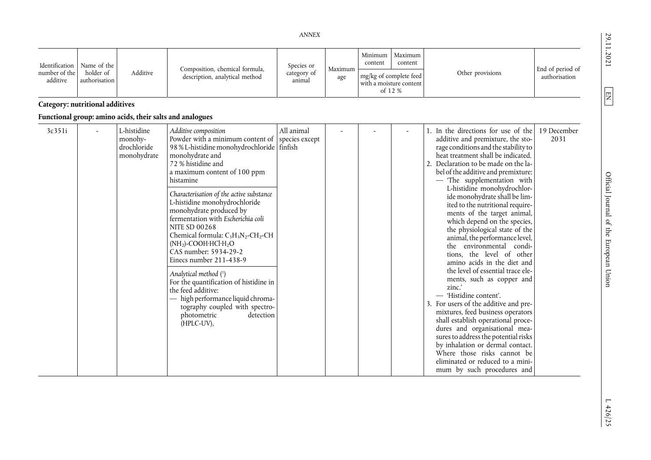<span id="page-2-0"></span>*ANNEX* 

| Identification<br>number of the<br>additive | Name of the<br>holder of<br>authorisation | Additive | Composition, chemical formula,<br>description, analytical method | Species or<br>category of<br>animal | Maximum<br>age | Minimum<br>content | Maximum<br>content                                               |                  | End of period of<br>authorisation |
|---------------------------------------------|-------------------------------------------|----------|------------------------------------------------------------------|-------------------------------------|----------------|--------------------|------------------------------------------------------------------|------------------|-----------------------------------|
|                                             |                                           |          |                                                                  |                                     |                |                    | I mg/kg of complete feed I<br>with a moisture content<br>of 12 % | Other provisions |                                   |

**Categor y: nutritional additives**

# **Functional group: amino acids, their salts and analogues**

| 3c351i | L-histidine<br>monohy-<br>drochloride<br>monohydrate | Additive composition<br>Powder with a minimum content of   species except<br>98 % L-histidine monohydrochloride   finfish<br>monohydrate and<br>72 % histidine and<br>a maximum content of 100 ppm<br>histamine<br>Characterisation of the active substance<br>L-histidine monohydrochloride<br>monohydrate produced by<br>fermentation with Escherichia coli<br><b>NITE SD 00268</b><br>Chemical formula: $C_3H_3N_2$ -CH <sub>2</sub> -CH<br>$(NH2)$ -COOH·HCl·H <sub>2</sub> O<br>CAS number: 5934-29-2<br>Einecs number 211-438-9<br>Analytical method (1)<br>For the quantification of histidine in<br>the feed additive:<br>high performance liquid chroma-<br>tography coupled with spectro-<br>photometric<br>detection<br>(HPLC-UV), | All animal |  | 1. In the directions for use of the<br>additive and premixture, the sto-<br>rage conditions and the stability to<br>heat treatment shall be indicated.<br>Declaration to be made on the la-<br>bel of the additive and premixture:<br>- 'The supplementation with<br>L-histidine monohydrochlor-<br>ide monohydrate shall be lim-<br>ited to the nutritional require-<br>ments of the target animal,<br>which depend on the species,<br>the physiological state of the<br>animal, the performance level,<br>environmental condi-<br>the<br>tions, the level of other<br>amino acids in the diet and<br>the level of essential trace ele-<br>ments, such as copper and<br>zinc.'<br>- 'Histidine content'.<br>For users of the additive and pre-<br>mixtures, feed business operators<br>shall establish operational proce-<br>dures and organisational mea-<br>sures to address the potential risks<br>by inhalation or dermal contact. | 19 December<br>2031 |
|--------|------------------------------------------------------|-----------------------------------------------------------------------------------------------------------------------------------------------------------------------------------------------------------------------------------------------------------------------------------------------------------------------------------------------------------------------------------------------------------------------------------------------------------------------------------------------------------------------------------------------------------------------------------------------------------------------------------------------------------------------------------------------------------------------------------------------|------------|--|-----------------------------------------------------------------------------------------------------------------------------------------------------------------------------------------------------------------------------------------------------------------------------------------------------------------------------------------------------------------------------------------------------------------------------------------------------------------------------------------------------------------------------------------------------------------------------------------------------------------------------------------------------------------------------------------------------------------------------------------------------------------------------------------------------------------------------------------------------------------------------------------------------------------------------------------|---------------------|
|        |                                                      |                                                                                                                                                                                                                                                                                                                                                                                                                                                                                                                                                                                                                                                                                                                                               |            |  | Where those risks cannot be<br>eliminated or reduced to a mini-<br>mum by such procedures and                                                                                                                                                                                                                                                                                                                                                                                                                                                                                                                                                                                                                                                                                                                                                                                                                                           |                     |

29.11.2021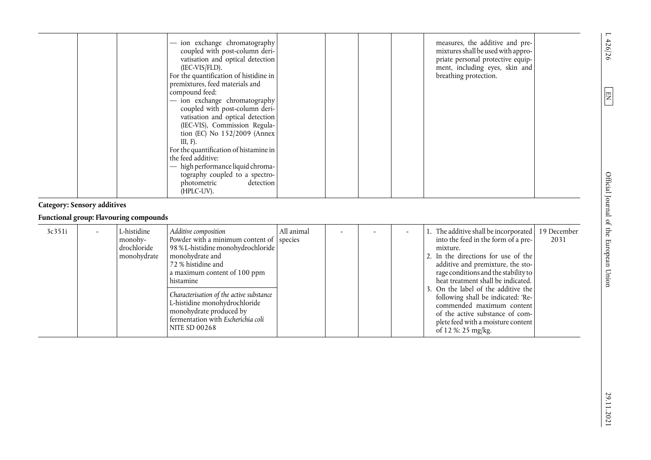|  | ion exchange chromatography<br>coupled with post-column deri-<br>vatisation and optical detection<br>$(IEC-VIS/FLD).$<br>For the quantification of histidine in<br>premixtures, feed materials and<br>compound feed:<br>- ion exchange chromatography<br>coupled with post-column deri-<br>vatisation and optical detection<br>(IEC-VIS), Commission Regula-<br>tion (EC) No 152/2009 (Annex<br>III, $F$ ).<br>For the quantification of histamine in<br>the feed additive:<br>- high performance liquid chroma-<br>tography coupled to a spectro-<br>photometric<br>detection<br>(HPLC-UV). |  |  | measures, the additive and pre-<br>mixtures shall be used with appro-<br>priate personal protective equip-<br>ment, including eyes, skin and<br>breathing protection. |  |
|--|----------------------------------------------------------------------------------------------------------------------------------------------------------------------------------------------------------------------------------------------------------------------------------------------------------------------------------------------------------------------------------------------------------------------------------------------------------------------------------------------------------------------------------------------------------------------------------------------|--|--|-----------------------------------------------------------------------------------------------------------------------------------------------------------------------|--|
|--|----------------------------------------------------------------------------------------------------------------------------------------------------------------------------------------------------------------------------------------------------------------------------------------------------------------------------------------------------------------------------------------------------------------------------------------------------------------------------------------------------------------------------------------------------------------------------------------------|--|--|-----------------------------------------------------------------------------------------------------------------------------------------------------------------------|--|

# **Categor y: Sensory additives**

## **Functional group: Flavouring compounds**

| 3c351i | L-histidine<br>monohy-<br>drochloride<br>monohydrate | Additive composition<br>Powder with a minimum content of species<br>98 % L-histidine monohydrochloride<br>monohydrate and<br>72 % histidine and<br>a maximum content of 100 ppm<br>histamine<br>Characterisation of the active substance<br>L-histidine monohydrochloride<br>monohydrate produced by<br>fermentation with Escherichia coli<br><b>NITE SD 00268</b> | All animal |  | 1. The additive shall be incorporated   19 December<br>into the feed in the form of a pre-<br>2031<br>mixture.<br>2. In the directions for use of the<br>additive and premixture, the sto-<br>rage conditions and the stability to<br>heat treatment shall be indicated.<br>3. On the label of the additive the<br>following shall be indicated: 'Re-<br>commended maximum content<br>of the active substance of com-<br>plete feed with a moisture content<br>of 12 %: 25 mg/kg. |
|--------|------------------------------------------------------|--------------------------------------------------------------------------------------------------------------------------------------------------------------------------------------------------------------------------------------------------------------------------------------------------------------------------------------------------------------------|------------|--|-----------------------------------------------------------------------------------------------------------------------------------------------------------------------------------------------------------------------------------------------------------------------------------------------------------------------------------------------------------------------------------------------------------------------------------------------------------------------------------|

 $L$  426/26

 $\boxed{EN}$